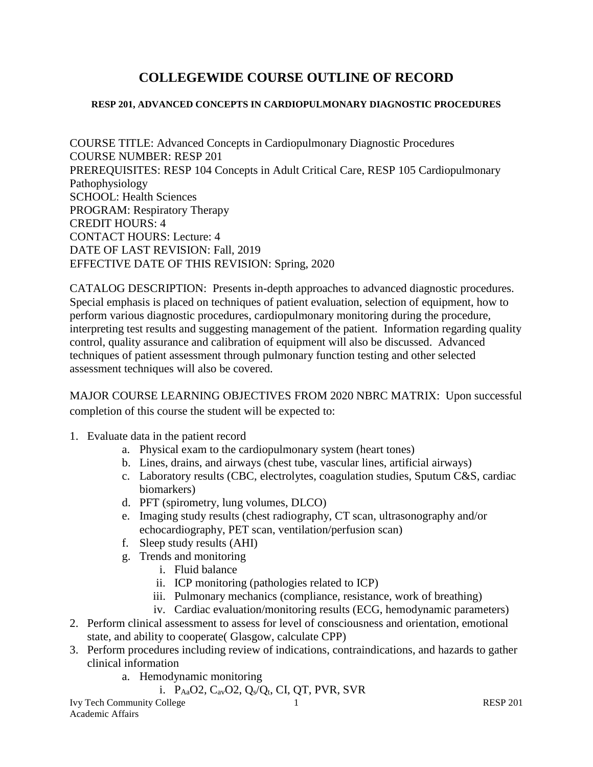# **COLLEGEWIDE COURSE OUTLINE OF RECORD**

#### **RESP 201, ADVANCED CONCEPTS IN CARDIOPULMONARY DIAGNOSTIC PROCEDURES**

COURSE TITLE: Advanced Concepts in Cardiopulmonary Diagnostic Procedures COURSE NUMBER: RESP 201 PREREQUISITES: RESP 104 Concepts in Adult Critical Care, RESP 105 Cardiopulmonary Pathophysiology SCHOOL: Health Sciences PROGRAM: Respiratory Therapy CREDIT HOURS: 4 CONTACT HOURS: Lecture: 4 DATE OF LAST REVISION: Fall, 2019 EFFECTIVE DATE OF THIS REVISION: Spring, 2020

CATALOG DESCRIPTION: Presents in-depth approaches to advanced diagnostic procedures. Special emphasis is placed on techniques of patient evaluation, selection of equipment, how to perform various diagnostic procedures, cardiopulmonary monitoring during the procedure, interpreting test results and suggesting management of the patient. Information regarding quality control, quality assurance and calibration of equipment will also be discussed. Advanced techniques of patient assessment through pulmonary function testing and other selected assessment techniques will also be covered.

MAJOR COURSE LEARNING OBJECTIVES FROM 2020 NBRC MATRIX: Upon successful completion of this course the student will be expected to:

- 1. Evaluate data in the patient record
	- a. Physical exam to the cardiopulmonary system (heart tones)
	- b. Lines, drains, and airways (chest tube, vascular lines, artificial airways)
	- c. Laboratory results (CBC, electrolytes, coagulation studies, Sputum C&S, cardiac biomarkers)
	- d. PFT (spirometry, lung volumes, DLCO)
	- e. Imaging study results (chest radiography, CT scan, ultrasonography and/or echocardiography, PET scan, ventilation/perfusion scan)
	- f. Sleep study results (AHI)
	- g. Trends and monitoring
		- i. Fluid balance
		- ii. ICP monitoring (pathologies related to ICP)
		- iii. Pulmonary mechanics (compliance, resistance, work of breathing)
		- iv. Cardiac evaluation/monitoring results (ECG, hemodynamic parameters)
- 2. Perform clinical assessment to assess for level of consciousness and orientation, emotional state, and ability to cooperate( Glasgow, calculate CPP)
- 3. Perform procedures including review of indications, contraindications, and hazards to gather clinical information
	- a. Hemodynamic monitoring
		- i. PAaO2, CavO2, Qs/Qt, CI, QT, PVR, SVR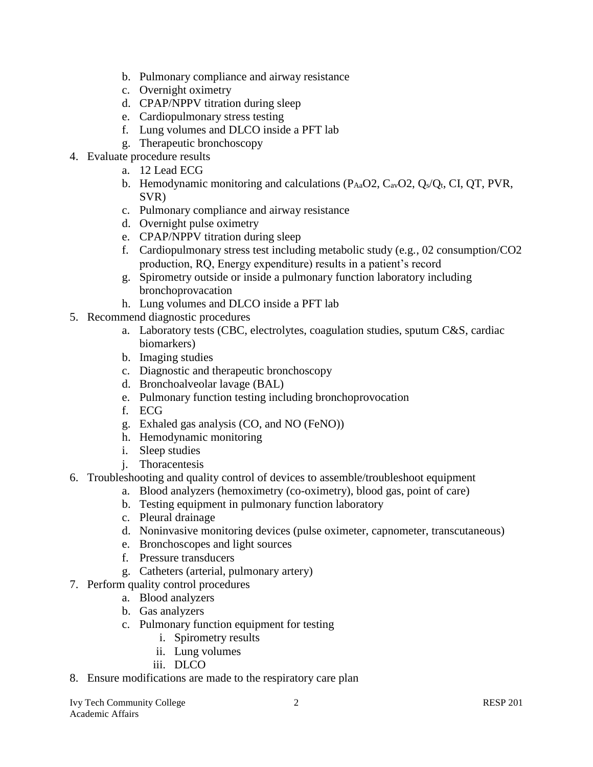- b. Pulmonary compliance and airway resistance
- c. Overnight oximetry
- d. CPAP/NPPV titration during sleep
- e. Cardiopulmonary stress testing
- f. Lung volumes and DLCO inside a PFT lab
- g. Therapeutic bronchoscopy
- 4. Evaluate procedure results
	- a. 12 Lead ECG
	- b. Hemodynamic monitoring and calculations  $(P_{Aa}O2, C_{av}O2, Q_s/Q_t, CI, QT, PVR,$ SVR)
	- c. Pulmonary compliance and airway resistance
	- d. Overnight pulse oximetry
	- e. CPAP/NPPV titration during sleep
	- f. Cardiopulmonary stress test including metabolic study (e.g., 02 consumption/CO2 production, RQ, Energy expenditure) results in a patient's record
	- g. Spirometry outside or inside a pulmonary function laboratory including bronchoprovacation
	- h. Lung volumes and DLCO inside a PFT lab
- 5. Recommend diagnostic procedures
	- a. Laboratory tests (CBC, electrolytes, coagulation studies, sputum C&S, cardiac biomarkers)
	- b. Imaging studies
	- c. Diagnostic and therapeutic bronchoscopy
	- d. Bronchoalveolar lavage (BAL)
	- e. Pulmonary function testing including bronchoprovocation
	- f. ECG
	- g. Exhaled gas analysis (CO, and NO (FeNO))
	- h. Hemodynamic monitoring
	- i. Sleep studies
	- j. Thoracentesis
- 6. Troubleshooting and quality control of devices to assemble/troubleshoot equipment
	- a. Blood analyzers (hemoximetry (co-oximetry), blood gas, point of care)
	- b. Testing equipment in pulmonary function laboratory
	- c. Pleural drainage
	- d. Noninvasive monitoring devices (pulse oximeter, capnometer, transcutaneous)
	- e. Bronchoscopes and light sources
	- f. Pressure transducers
	- g. Catheters (arterial, pulmonary artery)
- 7. Perform quality control procedures
	- a. Blood analyzers
	- b. Gas analyzers
	- c. Pulmonary function equipment for testing
		- i. Spirometry results
		- ii. Lung volumes
		- iii. DLCO
- 8. Ensure modifications are made to the respiratory care plan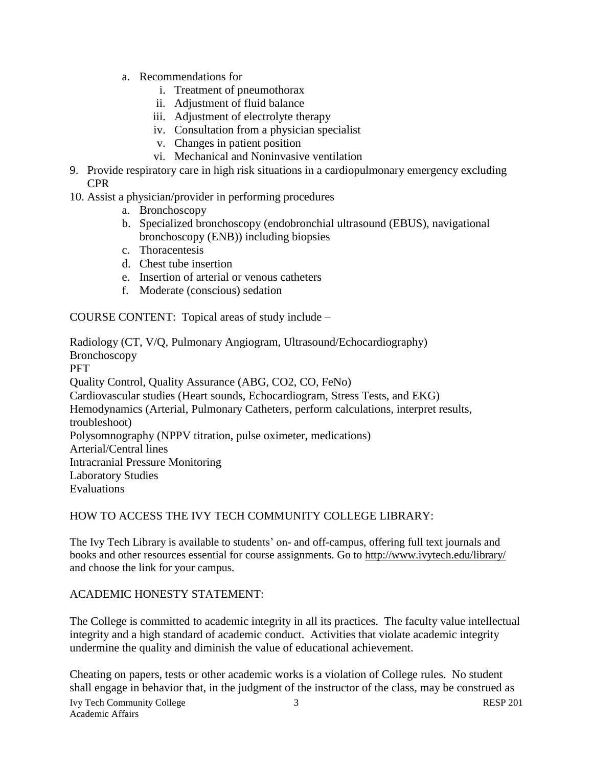- a. Recommendations for
	- i. Treatment of pneumothorax
	- ii. Adjustment of fluid balance
	- iii. Adjustment of electrolyte therapy
	- iv. Consultation from a physician specialist
	- v. Changes in patient position
	- vi. Mechanical and Noninvasive ventilation
- 9. Provide respiratory care in high risk situations in a cardiopulmonary emergency excluding CPR
- 10. Assist a physician/provider in performing procedures
	- a. Bronchoscopy
	- b. Specialized bronchoscopy (endobronchial ultrasound (EBUS), navigational bronchoscopy (ENB)) including biopsies
	- c. Thoracentesis
	- d. Chest tube insertion
	- e. Insertion of arterial or venous catheters
	- f. Moderate (conscious) sedation

COURSE CONTENT: Topical areas of study include –

Radiology (CT, V/Q, Pulmonary Angiogram, Ultrasound/Echocardiography) Bronchoscopy **PFT** Quality Control, Quality Assurance (ABG, CO2, CO, FeNo) Cardiovascular studies (Heart sounds, Echocardiogram, Stress Tests, and EKG) Hemodynamics (Arterial, Pulmonary Catheters, perform calculations, interpret results, troubleshoot) Polysomnography (NPPV titration, pulse oximeter, medications) Arterial/Central lines Intracranial Pressure Monitoring Laboratory Studies Evaluations

# HOW TO ACCESS THE IVY TECH COMMUNITY COLLEGE LIBRARY:

The Ivy Tech Library is available to students' on- and off-campus, offering full text journals and books and other resources essential for course assignments. Go to<http://www.ivytech.edu/library/> and choose the link for your campus.

# ACADEMIC HONESTY STATEMENT:

The College is committed to academic integrity in all its practices. The faculty value intellectual integrity and a high standard of academic conduct. Activities that violate academic integrity undermine the quality and diminish the value of educational achievement.

Ivy Tech Community College 3 3 RESP 201 Cheating on papers, tests or other academic works is a violation of College rules. No student shall engage in behavior that, in the judgment of the instructor of the class, may be construed as

Academic Affairs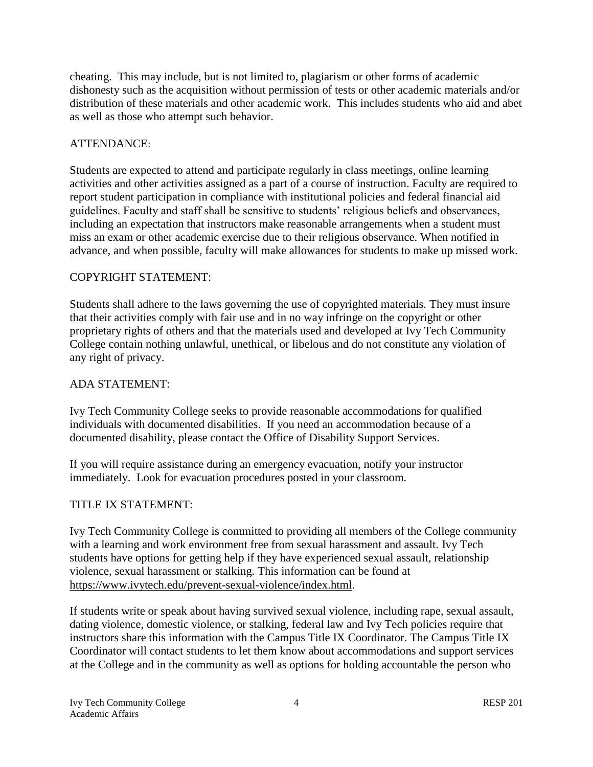cheating. This may include, but is not limited to, plagiarism or other forms of academic dishonesty such as the acquisition without permission of tests or other academic materials and/or distribution of these materials and other academic work. This includes students who aid and abet as well as those who attempt such behavior.

# ATTENDANCE:

Students are expected to attend and participate regularly in class meetings, online learning activities and other activities assigned as a part of a course of instruction. Faculty are required to report student participation in compliance with institutional policies and federal financial aid guidelines. Faculty and staff shall be sensitive to students' religious beliefs and observances, including an expectation that instructors make reasonable arrangements when a student must miss an exam or other academic exercise due to their religious observance. When notified in advance, and when possible, faculty will make allowances for students to make up missed work.

# COPYRIGHT STATEMENT:

Students shall adhere to the laws governing the use of copyrighted materials. They must insure that their activities comply with fair use and in no way infringe on the copyright or other proprietary rights of others and that the materials used and developed at Ivy Tech Community College contain nothing unlawful, unethical, or libelous and do not constitute any violation of any right of privacy.

# ADA STATEMENT:

Ivy Tech Community College seeks to provide reasonable accommodations for qualified individuals with documented disabilities. If you need an accommodation because of a documented disability, please contact the Office of Disability Support Services.

If you will require assistance during an emergency evacuation, notify your instructor immediately. Look for evacuation procedures posted in your classroom.

# TITLE IX STATEMENT:

Ivy Tech Community College is committed to providing all members of the College community with a learning and work environment free from sexual harassment and assault. Ivy Tech students have options for getting help if they have experienced sexual assault, relationship violence, sexual harassment or stalking. This information can be found at [https://www.ivytech.edu/prevent-sexual-violence/index.html.](https://www.ivytech.edu/prevent-sexual-violence/index.html)

If students write or speak about having survived sexual violence, including rape, sexual assault, dating violence, domestic violence, or stalking, federal law and Ivy Tech policies require that instructors share this information with the Campus Title IX Coordinator. The Campus Title IX Coordinator will contact students to let them know about accommodations and support services at the College and in the community as well as options for holding accountable the person who